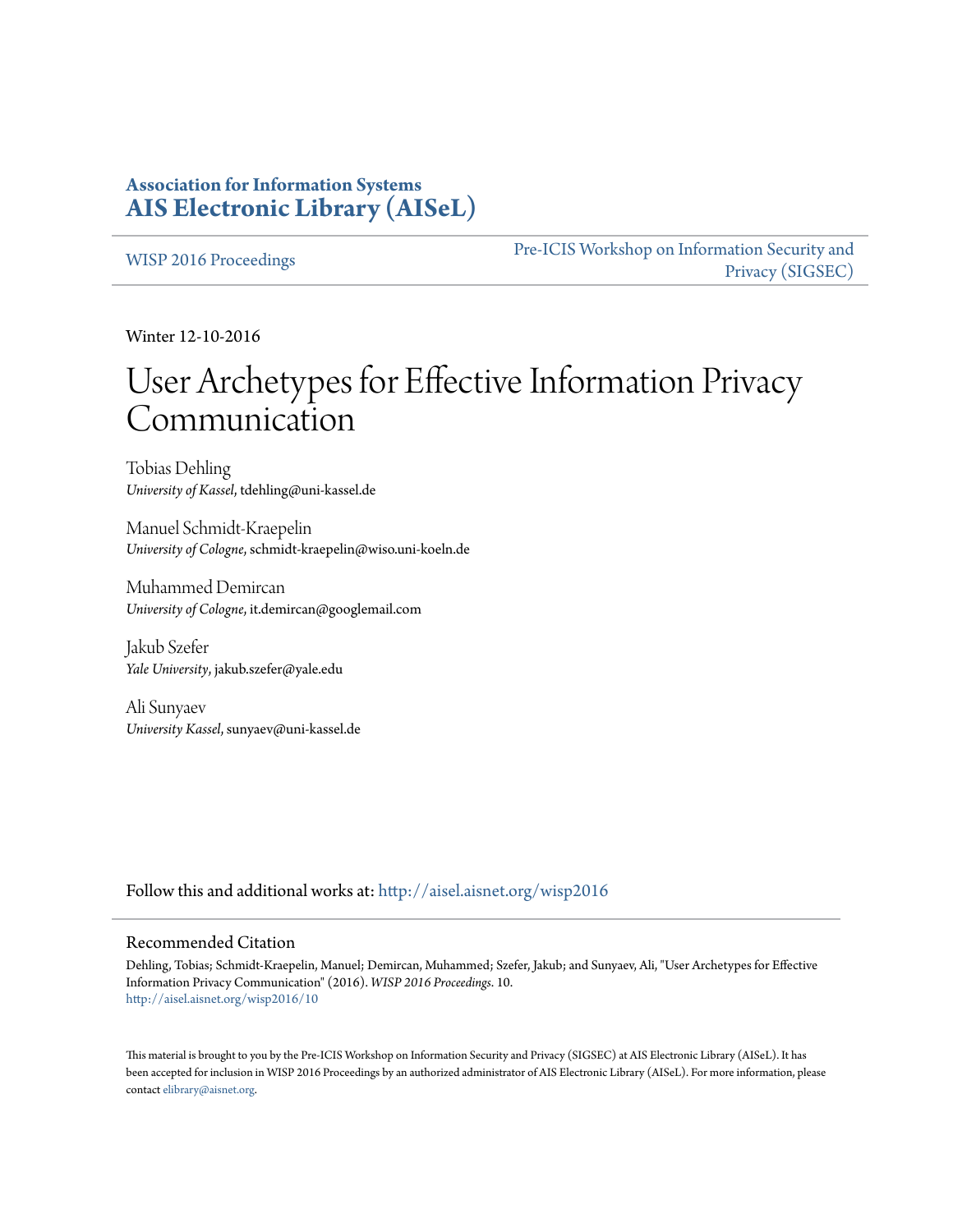# **Association for Information Systems [AIS Electronic Library \(AISeL\)](http://aisel.aisnet.org?utm_source=aisel.aisnet.org%2Fwisp2016%2F10&utm_medium=PDF&utm_campaign=PDFCoverPages)**

[WISP 2016 Proceedings](http://aisel.aisnet.org/wisp2016?utm_source=aisel.aisnet.org%2Fwisp2016%2F10&utm_medium=PDF&utm_campaign=PDFCoverPages)

[Pre-ICIS Workshop on Information Security and](http://aisel.aisnet.org/sigsec?utm_source=aisel.aisnet.org%2Fwisp2016%2F10&utm_medium=PDF&utm_campaign=PDFCoverPages) [Privacy \(SIGSEC\)](http://aisel.aisnet.org/sigsec?utm_source=aisel.aisnet.org%2Fwisp2016%2F10&utm_medium=PDF&utm_campaign=PDFCoverPages)

Winter 12-10-2016

# User Archetypes for Effective Information Privacy Communication

Tobias Dehling *University of Kassel*, tdehling@uni-kassel.de

Manuel Schmidt-Kraepelin *University of Cologne*, schmidt-kraepelin@wiso.uni-koeln.de

Muhammed Demircan *University of Cologne*, it.demircan@googlemail.com

Jakub Szefer *Yale University*, jakub.szefer@yale.edu

Ali Sunyaev *University Kassel*, sunyaev@uni-kassel.de

Follow this and additional works at: [http://aisel.aisnet.org/wisp2016](http://aisel.aisnet.org/wisp2016?utm_source=aisel.aisnet.org%2Fwisp2016%2F10&utm_medium=PDF&utm_campaign=PDFCoverPages)

#### Recommended Citation

Dehling, Tobias; Schmidt-Kraepelin, Manuel; Demircan, Muhammed; Szefer, Jakub; and Sunyaev, Ali, "User Archetypes for Effective Information Privacy Communication" (2016). *WISP 2016 Proceedings*. 10. [http://aisel.aisnet.org/wisp2016/10](http://aisel.aisnet.org/wisp2016/10?utm_source=aisel.aisnet.org%2Fwisp2016%2F10&utm_medium=PDF&utm_campaign=PDFCoverPages)

This material is brought to you by the Pre-ICIS Workshop on Information Security and Privacy (SIGSEC) at AIS Electronic Library (AISeL). It has been accepted for inclusion in WISP 2016 Proceedings by an authorized administrator of AIS Electronic Library (AISeL). For more information, please contact [elibrary@aisnet.org.](mailto:elibrary@aisnet.org%3E)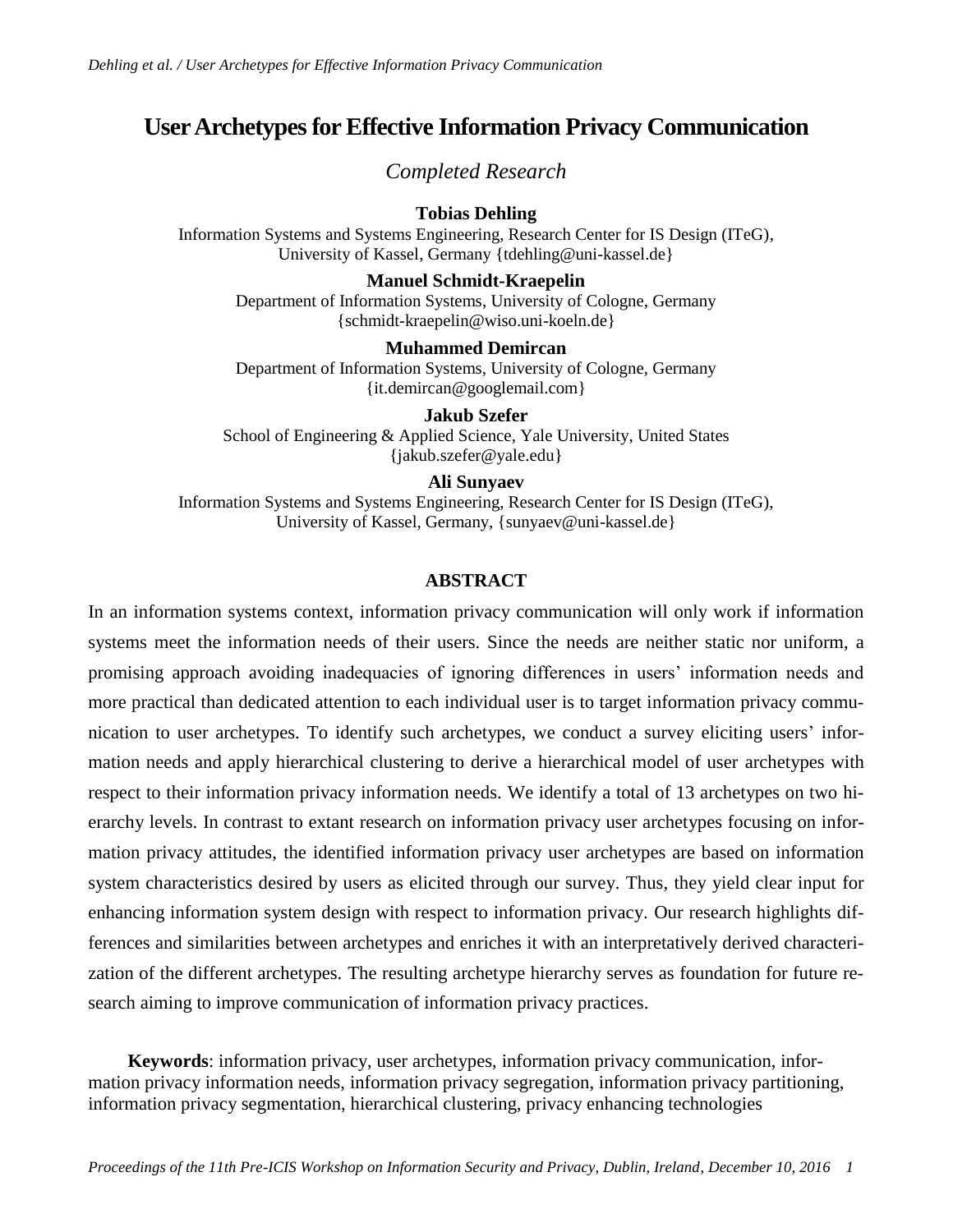# **User Archetypesfor Effective Information Privacy Communication**

*Completed Research*

# **Tobias Dehling**

Information Systems and Systems Engineering, Research Center for IS Design (ITeG), University of Kassel, Germany {tdehling@uni-kassel.de}

# **Manuel Schmidt-Kraepelin**

Department of Information Systems, University of Cologne, Germany {schmidt-kraepelin@wiso.uni-koeln.de}

# **Muhammed Demircan**

Department of Information Systems, University of Cologne, Germany {it.demircan@googlemail.com}

**Jakub Szefer** School of Engineering & Applied Science, Yale University, United States {jakub.szefer@yale.edu}

# **Ali Sunyaev**

Information Systems and Systems Engineering, Research Center for IS Design (ITeG), University of Kassel, Germany, {sunyaev@uni-kassel.de}

# **ABSTRACT**

In an information systems context, information privacy communication will only work if information systems meet the information needs of their users. Since the needs are neither static nor uniform, a promising approach avoiding inadequacies of ignoring differences in users' information needs and more practical than dedicated attention to each individual user is to target information privacy communication to user archetypes. To identify such archetypes, we conduct a survey eliciting users' information needs and apply hierarchical clustering to derive a hierarchical model of user archetypes with respect to their information privacy information needs. We identify a total of 13 archetypes on two hierarchy levels. In contrast to extant research on information privacy user archetypes focusing on information privacy attitudes, the identified information privacy user archetypes are based on information system characteristics desired by users as elicited through our survey. Thus, they yield clear input for enhancing information system design with respect to information privacy. Our research highlights differences and similarities between archetypes and enriches it with an interpretatively derived characterization of the different archetypes. The resulting archetype hierarchy serves as foundation for future research aiming to improve communication of information privacy practices.

**Keywords**: information privacy, user archetypes, information privacy communication, information privacy information needs, information privacy segregation, information privacy partitioning, information privacy segmentation, hierarchical clustering, privacy enhancing technologies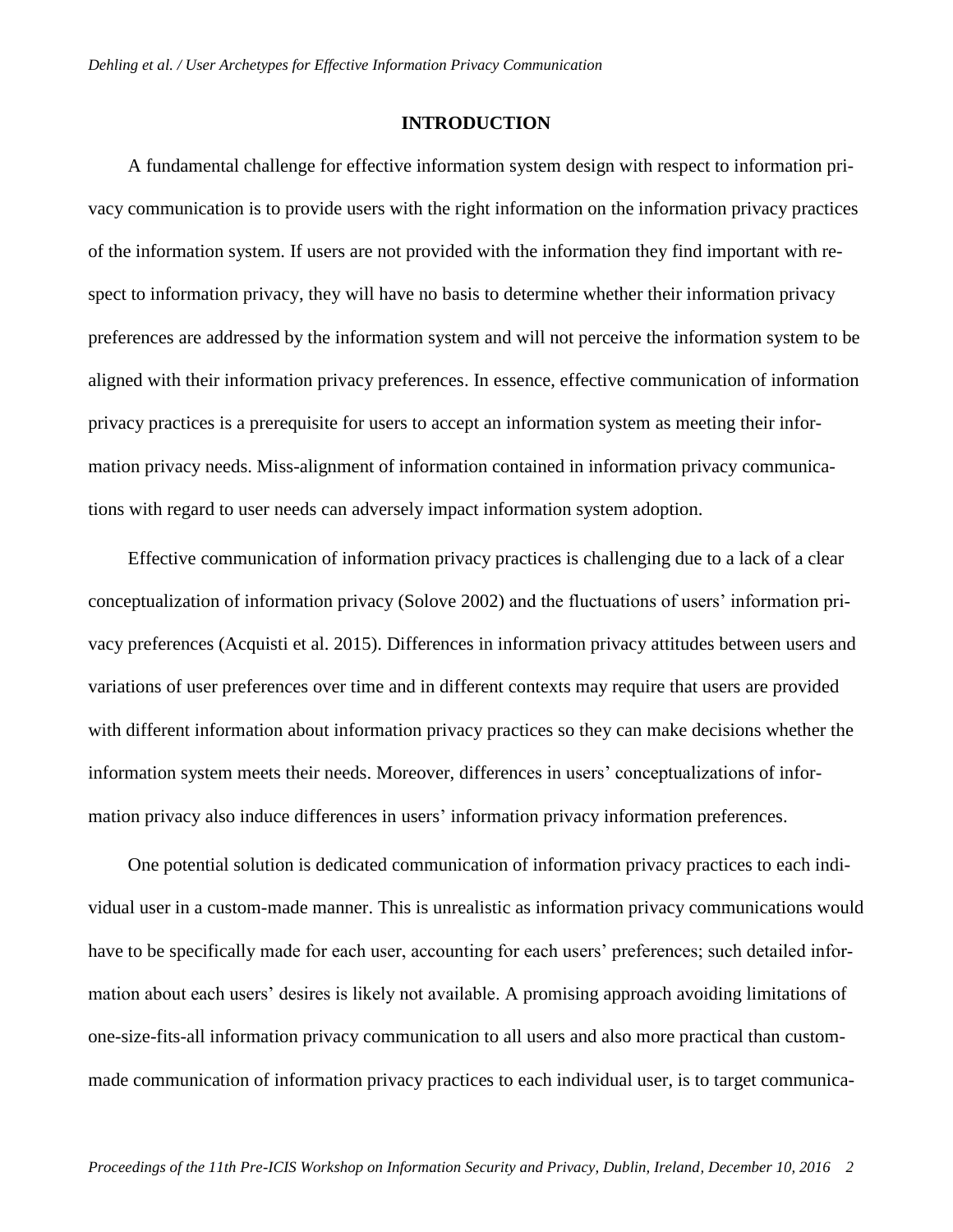# **INTRODUCTION**

A fundamental challenge for effective information system design with respect to information privacy communication is to provide users with the right information on the information privacy practices of the information system. If users are not provided with the information they find important with respect to information privacy, they will have no basis to determine whether their information privacy preferences are addressed by the information system and will not perceive the information system to be aligned with their information privacy preferences. In essence, effective communication of information privacy practices is a prerequisite for users to accept an information system as meeting their information privacy needs. Miss-alignment of information contained in information privacy communications with regard to user needs can adversely impact information system adoption.

Effective communication of information privacy practices is challenging due to a lack of a clear conceptualization of information privacy (Solove 2002) and the fluctuations of users' information privacy preferences (Acquisti et al. 2015). Differences in information privacy attitudes between users and variations of user preferences over time and in different contexts may require that users are provided with different information about information privacy practices so they can make decisions whether the information system meets their needs. Moreover, differences in users' conceptualizations of information privacy also induce differences in users' information privacy information preferences.

One potential solution is dedicated communication of information privacy practices to each individual user in a custom-made manner. This is unrealistic as information privacy communications would have to be specifically made for each user, accounting for each users' preferences; such detailed information about each users' desires is likely not available. A promising approach avoiding limitations of one-size-fits-all information privacy communication to all users and also more practical than custommade communication of information privacy practices to each individual user, is to target communica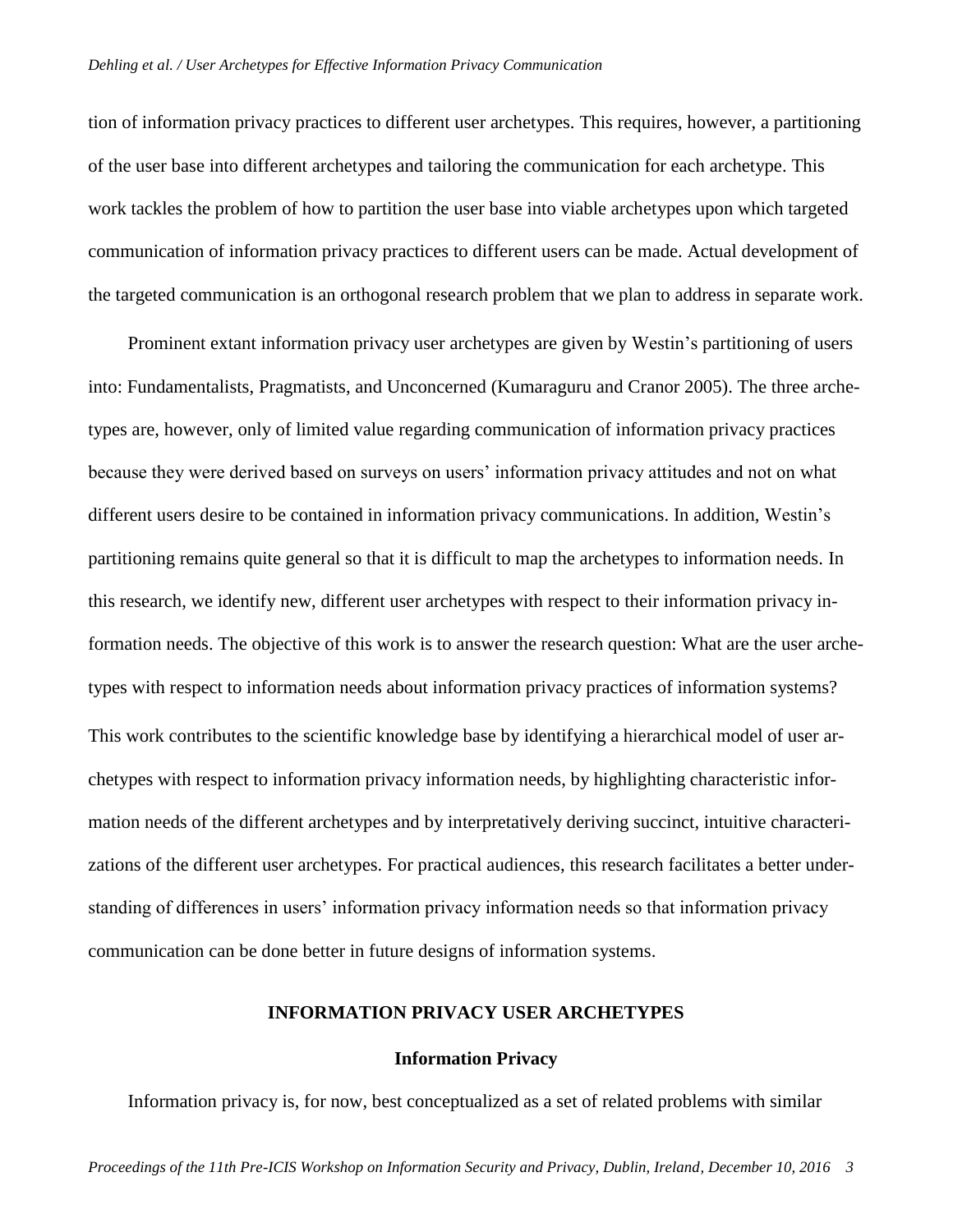tion of information privacy practices to different user archetypes. This requires, however, a partitioning of the user base into different archetypes and tailoring the communication for each archetype. This work tackles the problem of how to partition the user base into viable archetypes upon which targeted communication of information privacy practices to different users can be made. Actual development of the targeted communication is an orthogonal research problem that we plan to address in separate work.

Prominent extant information privacy user archetypes are given by Westin's partitioning of users into: Fundamentalists, Pragmatists, and Unconcerned (Kumaraguru and Cranor 2005). The three archetypes are, however, only of limited value regarding communication of information privacy practices because they were derived based on surveys on users' information privacy attitudes and not on what different users desire to be contained in information privacy communications. In addition, Westin's partitioning remains quite general so that it is difficult to map the archetypes to information needs. In this research, we identify new, different user archetypes with respect to their information privacy information needs. The objective of this work is to answer the research question: What are the user archetypes with respect to information needs about information privacy practices of information systems? This work contributes to the scientific knowledge base by identifying a hierarchical model of user archetypes with respect to information privacy information needs, by highlighting characteristic information needs of the different archetypes and by interpretatively deriving succinct, intuitive characterizations of the different user archetypes. For practical audiences, this research facilitates a better understanding of differences in users' information privacy information needs so that information privacy communication can be done better in future designs of information systems.

# **INFORMATION PRIVACY USER ARCHETYPES**

#### **Information Privacy**

Information privacy is, for now, best conceptualized as a set of related problems with similar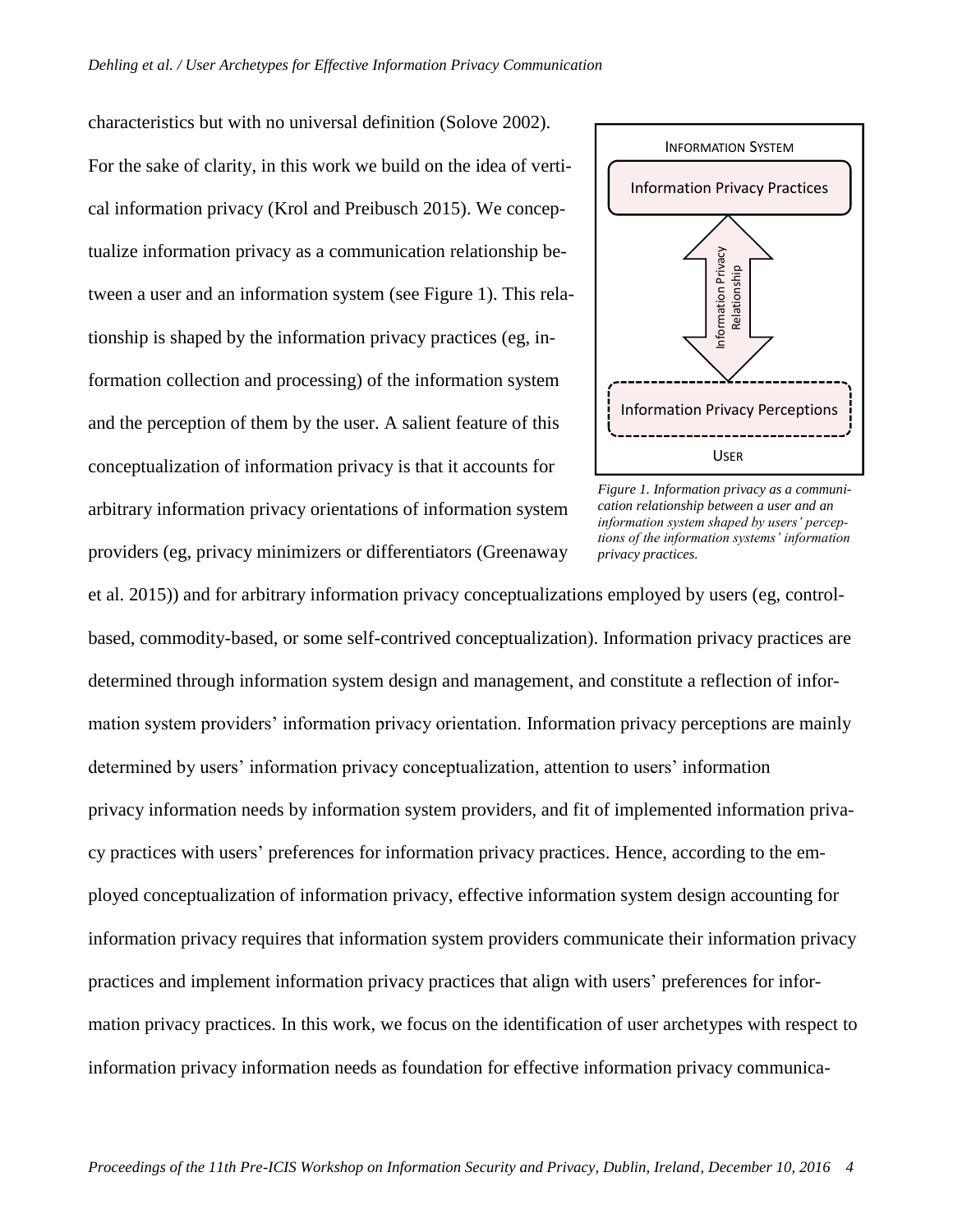characteristics but with no universal definition (Solove 2002). For the sake of clarity, in this work we build on the idea of vertical information privacy (Krol and Preibusch 2015). We conceptualize information privacy as a communication relationship between a user and an information system (see [Figure 1\)](#page-4-0). This relationship is shaped by the information privacy practices (eg, information collection and processing) of the information system and the perception of them by the user. A salient feature of this conceptualization of information privacy is that it accounts for arbitrary information privacy orientations of information system providers (eg, privacy minimizers or differentiators (Greenaway



<span id="page-4-0"></span>*Figure 1. Information privacy as a communication relationship between a user and an information system shaped by users' perceptions of the information systems' information privacy practices.*

et al. 2015)) and for arbitrary information privacy conceptualizations employed by users (eg, controlbased, commodity-based, or some self-contrived conceptualization). Information privacy practices are determined through information system design and management, and constitute a reflection of information system providers' information privacy orientation. Information privacy perceptions are mainly determined by users' information privacy conceptualization, attention to users' information privacy information needs by information system providers, and fit of implemented information privacy practices with users' preferences for information privacy practices. Hence, according to the employed conceptualization of information privacy, effective information system design accounting for information privacy requires that information system providers communicate their information privacy practices and implement information privacy practices that align with users' preferences for information privacy practices. In this work, we focus on the identification of user archetypes with respect to information privacy information needs as foundation for effective information privacy communica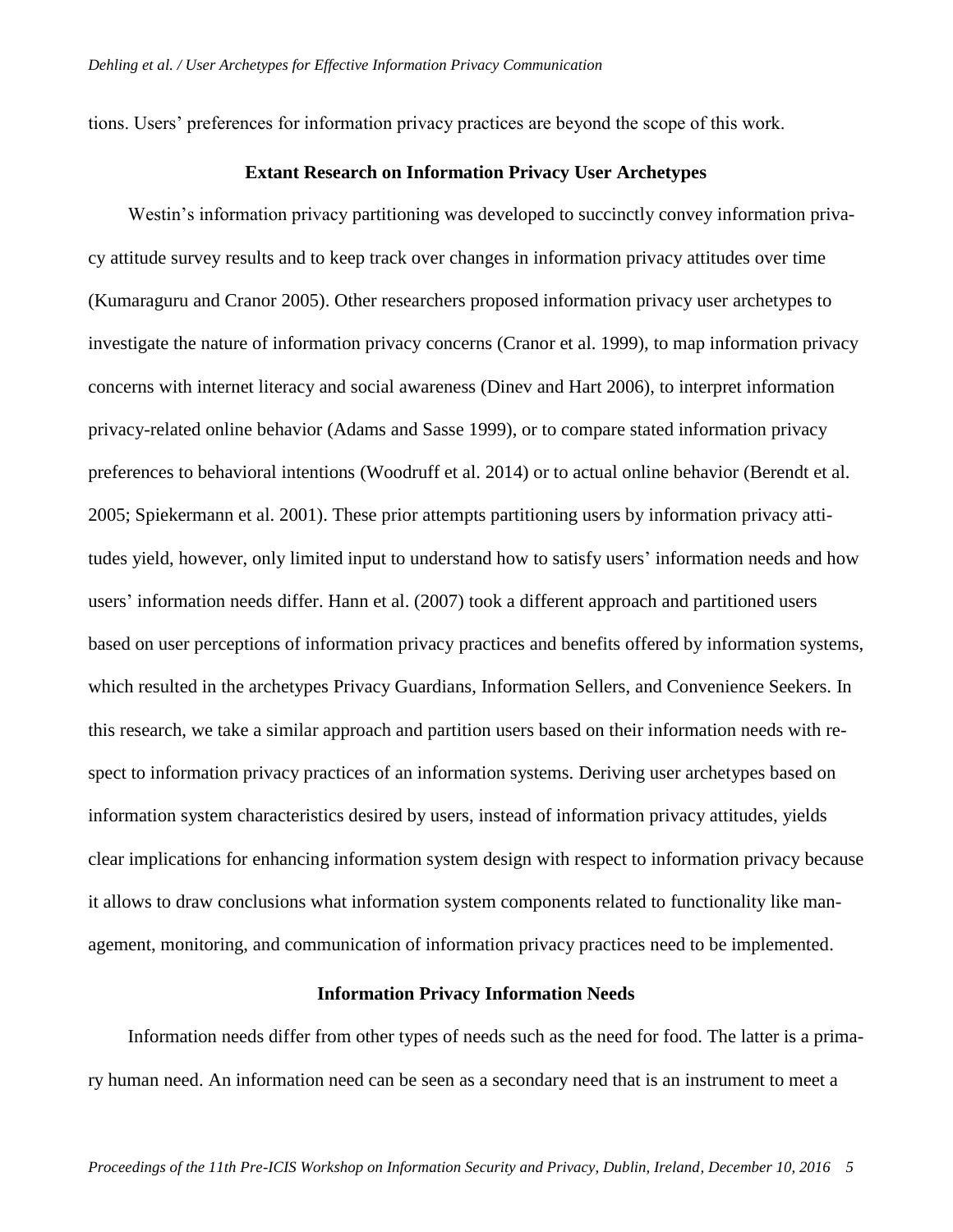tions. Users' preferences for information privacy practices are beyond the scope of this work.

#### **Extant Research on Information Privacy User Archetypes**

Westin's information privacy partitioning was developed to succinctly convey information privacy attitude survey results and to keep track over changes in information privacy attitudes over time (Kumaraguru and Cranor 2005). Other researchers proposed information privacy user archetypes to investigate the nature of information privacy concerns (Cranor et al. 1999), to map information privacy concerns with internet literacy and social awareness (Dinev and Hart 2006), to interpret information privacy-related online behavior (Adams and Sasse 1999), or to compare stated information privacy preferences to behavioral intentions (Woodruff et al. 2014) or to actual online behavior (Berendt et al. 2005; Spiekermann et al. 2001). These prior attempts partitioning users by information privacy attitudes yield, however, only limited input to understand how to satisfy users' information needs and how users' information needs differ. Hann et al. (2007) took a different approach and partitioned users based on user perceptions of information privacy practices and benefits offered by information systems, which resulted in the archetypes Privacy Guardians, Information Sellers, and Convenience Seekers. In this research, we take a similar approach and partition users based on their information needs with respect to information privacy practices of an information systems. Deriving user archetypes based on information system characteristics desired by users, instead of information privacy attitudes, yields clear implications for enhancing information system design with respect to information privacy because it allows to draw conclusions what information system components related to functionality like management, monitoring, and communication of information privacy practices need to be implemented.

#### **Information Privacy Information Needs**

Information needs differ from other types of needs such as the need for food. The latter is a primary human need. An information need can be seen as a secondary need that is an instrument to meet a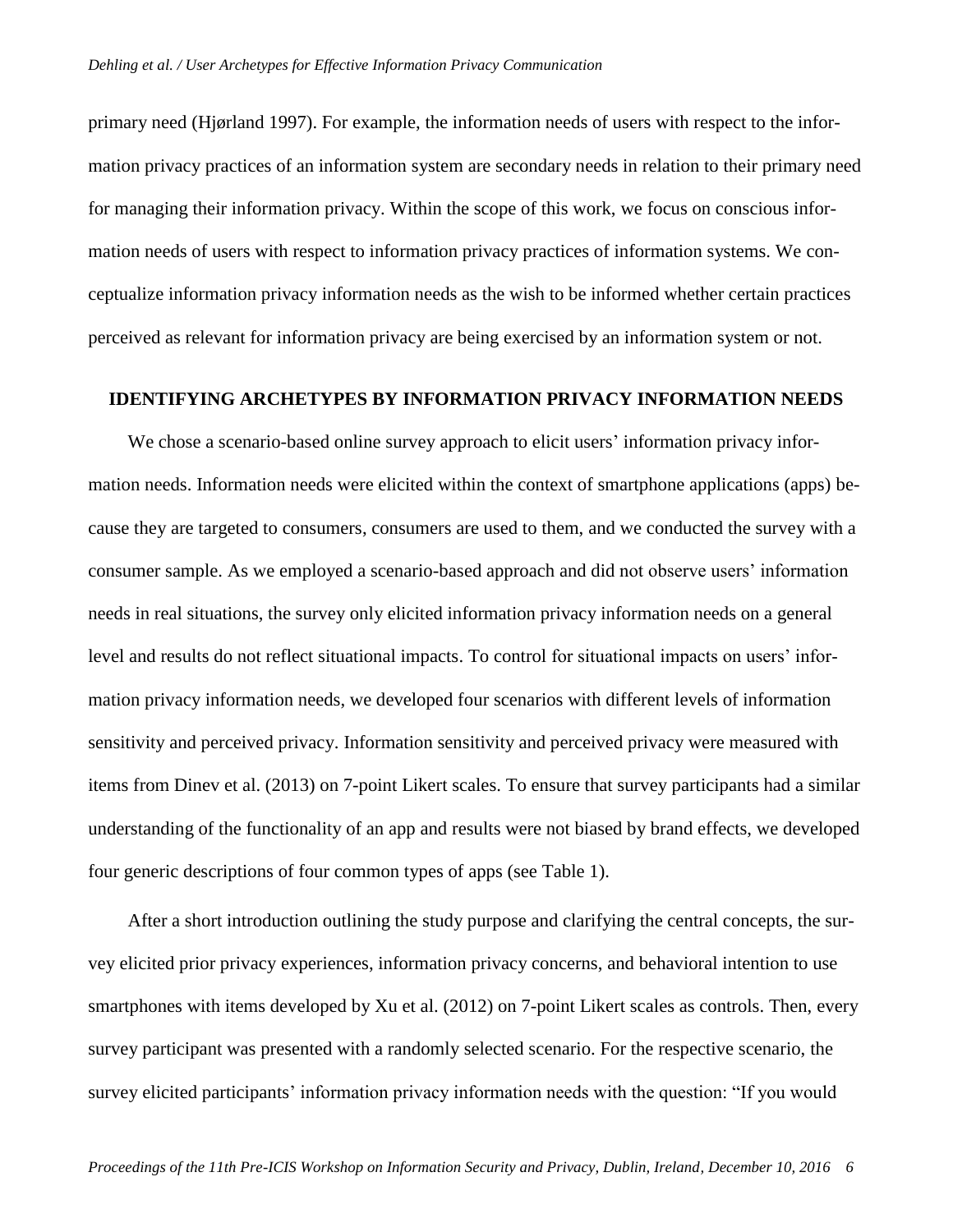primary need (Hjørland 1997). For example, the information needs of users with respect to the information privacy practices of an information system are secondary needs in relation to their primary need for managing their information privacy. Within the scope of this work, we focus on conscious information needs of users with respect to information privacy practices of information systems. We conceptualize information privacy information needs as the wish to be informed whether certain practices perceived as relevant for information privacy are being exercised by an information system or not.

#### **IDENTIFYING ARCHETYPES BY INFORMATION PRIVACY INFORMATION NEEDS**

We chose a scenario-based online survey approach to elicit users' information privacy information needs. Information needs were elicited within the context of smartphone applications (apps) because they are targeted to consumers, consumers are used to them, and we conducted the survey with a consumer sample. As we employed a scenario-based approach and did not observe users' information needs in real situations, the survey only elicited information privacy information needs on a general level and results do not reflect situational impacts. To control for situational impacts on users' information privacy information needs, we developed four scenarios with different levels of information sensitivity and perceived privacy. Information sensitivity and perceived privacy were measured with items from Dinev et al. (2013) on 7-point Likert scales. To ensure that survey participants had a similar understanding of the functionality of an app and results were not biased by brand effects, we developed four generic descriptions of four common types of apps (see [Table 1\)](#page-7-0).

After a short introduction outlining the study purpose and clarifying the central concepts, the survey elicited prior privacy experiences, information privacy concerns, and behavioral intention to use smartphones with items developed by Xu et al. (2012) on 7-point Likert scales as controls. Then, every survey participant was presented with a randomly selected scenario. For the respective scenario, the survey elicited participants' information privacy information needs with the question: "If you would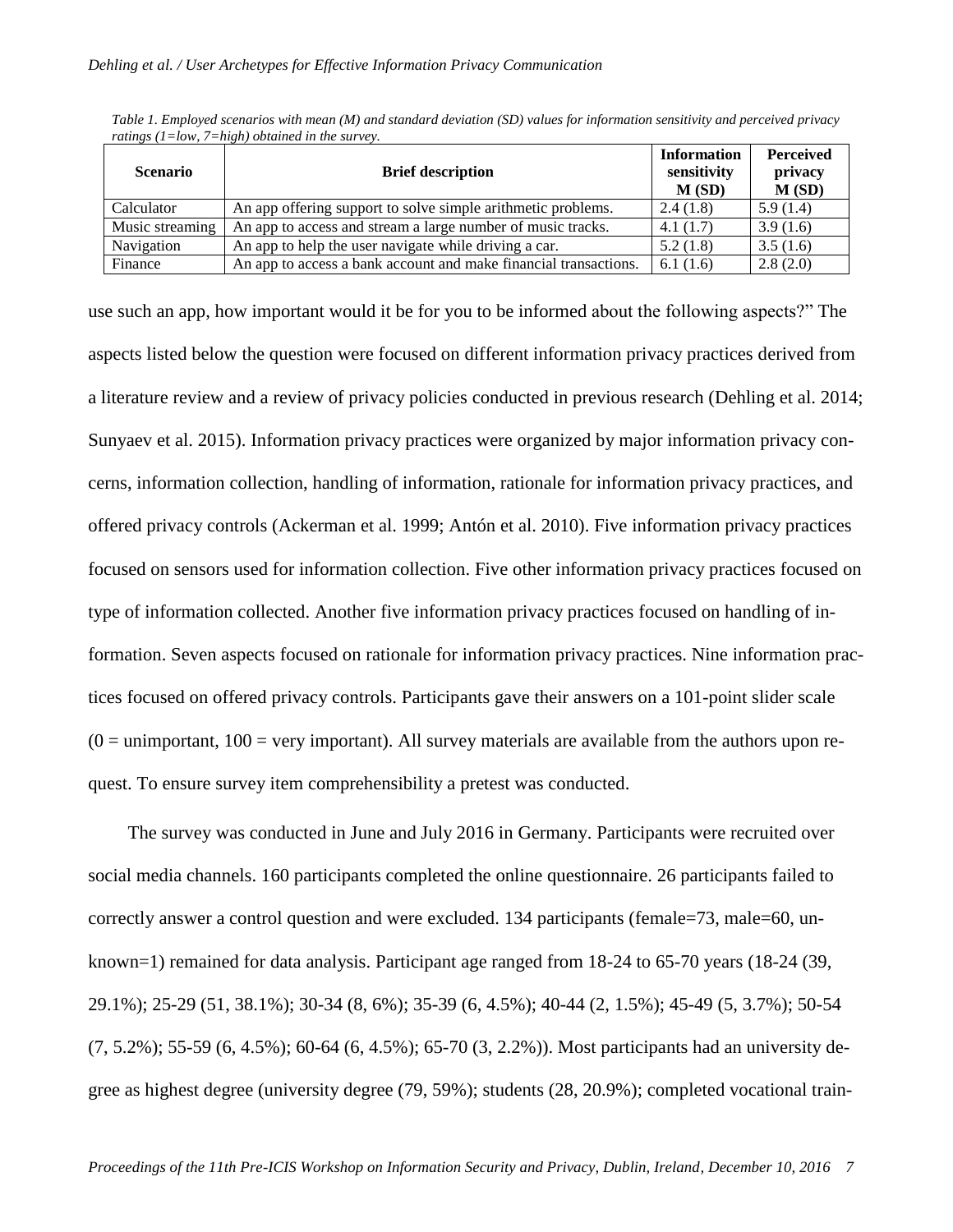| <b>Scenario</b> | <b>Brief description</b>                                         | <b>Information</b><br>sensitivity<br>M(SD) | <b>Perceived</b><br>privacy<br>M(SD) |
|-----------------|------------------------------------------------------------------|--------------------------------------------|--------------------------------------|
| Calculator      | An app offering support to solve simple arithmetic problems.     | 2.4(1.8)                                   | 5.9(1.4)                             |
| Music streaming | An app to access and stream a large number of music tracks.      | 4.1(1.7)                                   | 3.9(1.6)                             |
| Navigation      | An app to help the user navigate while driving a car.            | 5.2(1.8)                                   | 3.5(1.6)                             |
| Finance         | An app to access a bank account and make financial transactions. | 6.1(1.6)                                   | 2.8(2.0)                             |

<span id="page-7-0"></span>*Table 1. Employed scenarios with mean (M) and standard deviation (SD) values for information sensitivity and perceived privacy ratings (1=low, 7=high) obtained in the survey.*

use such an app, how important would it be for you to be informed about the following aspects?" The aspects listed below the question were focused on different information privacy practices derived from a literature review and a review of privacy policies conducted in previous research (Dehling et al. 2014; Sunyaev et al. 2015). Information privacy practices were organized by major information privacy concerns, information collection, handling of information, rationale for information privacy practices, and offered privacy controls (Ackerman et al. 1999; Antón et al. 2010). Five information privacy practices focused on sensors used for information collection. Five other information privacy practices focused on type of information collected. Another five information privacy practices focused on handling of information. Seven aspects focused on rationale for information privacy practices. Nine information practices focused on offered privacy controls. Participants gave their answers on a 101-point slider scale  $(0 =$  unimportant,  $100 =$  very important). All survey materials are available from the authors upon request. To ensure survey item comprehensibility a pretest was conducted.

The survey was conducted in June and July 2016 in Germany. Participants were recruited over social media channels. 160 participants completed the online questionnaire. 26 participants failed to correctly answer a control question and were excluded. 134 participants (female=73, male=60, unknown=1) remained for data analysis. Participant age ranged from 18-24 to 65-70 years (18-24 (39, 29.1%); 25-29 (51, 38.1%); 30-34 (8, 6%); 35-39 (6, 4.5%); 40-44 (2, 1.5%); 45-49 (5, 3.7%); 50-54 (7, 5.2%); 55-59 (6, 4.5%); 60-64 (6, 4.5%); 65-70 (3, 2.2%)). Most participants had an university degree as highest degree (university degree (79, 59%); students (28, 20.9%); completed vocational train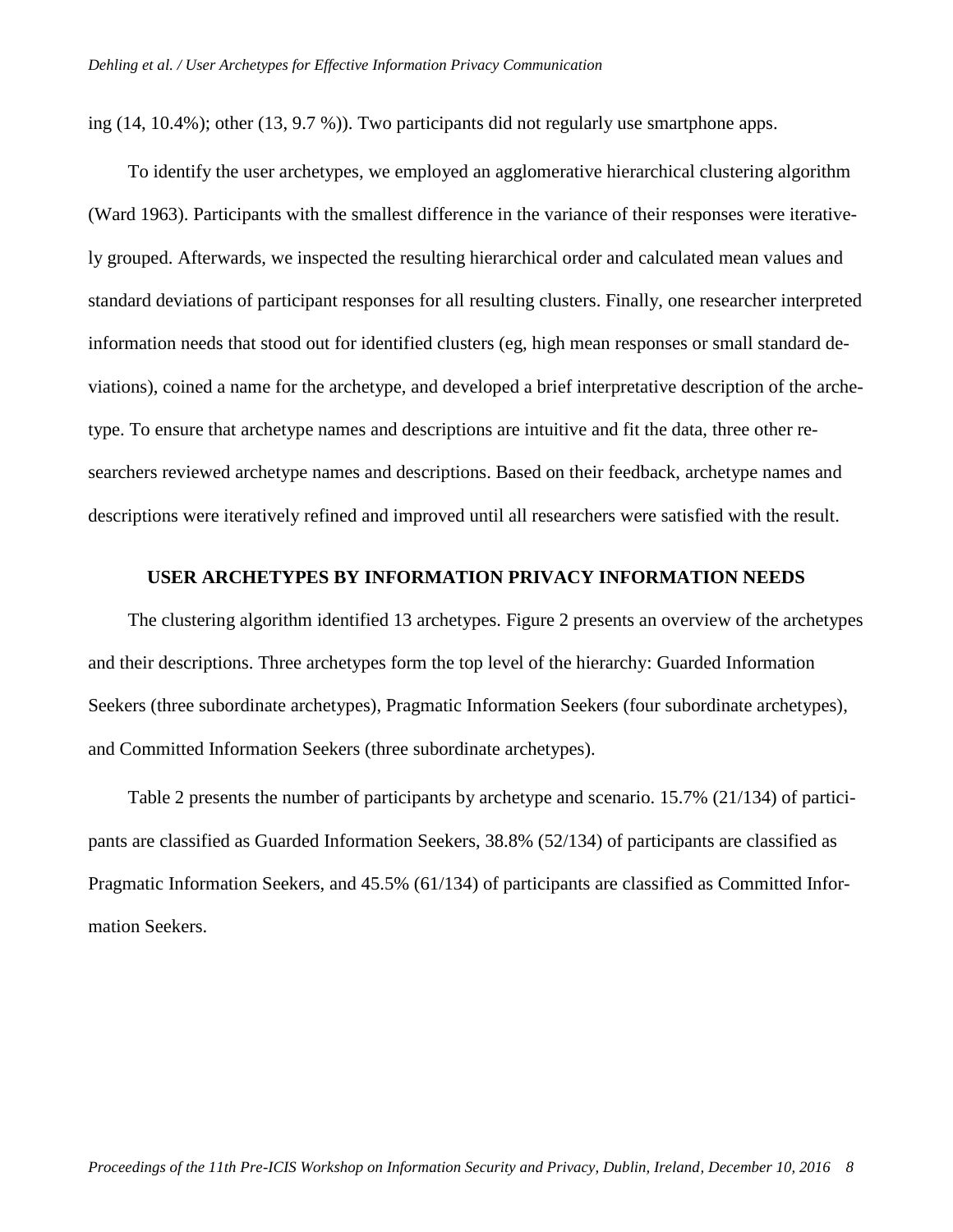ing (14, 10.4%); other (13, 9.7 %)). Two participants did not regularly use smartphone apps.

To identify the user archetypes, we employed an agglomerative hierarchical clustering algorithm (Ward 1963). Participants with the smallest difference in the variance of their responses were iteratively grouped. Afterwards, we inspected the resulting hierarchical order and calculated mean values and standard deviations of participant responses for all resulting clusters. Finally, one researcher interpreted information needs that stood out for identified clusters (eg, high mean responses or small standard deviations), coined a name for the archetype, and developed a brief interpretative description of the archetype. To ensure that archetype names and descriptions are intuitive and fit the data, three other researchers reviewed archetype names and descriptions. Based on their feedback, archetype names and descriptions were iteratively refined and improved until all researchers were satisfied with the result.

#### **USER ARCHETYPES BY INFORMATION PRIVACY INFORMATION NEEDS**

The clustering algorithm identified 13 archetypes. [Figure 2](#page-9-0) presents an overview of the archetypes and their descriptions. Three archetypes form the top level of the hierarchy: Guarded Information Seekers (three subordinate archetypes), Pragmatic Information Seekers (four subordinate archetypes), and Committed Information Seekers (three subordinate archetypes).

[Table 2](#page-10-0) presents the number of participants by archetype and scenario. 15.7% (21/134) of participants are classified as Guarded Information Seekers, 38.8% (52/134) of participants are classified as Pragmatic Information Seekers, and 45.5% (61/134) of participants are classified as Committed Information Seekers.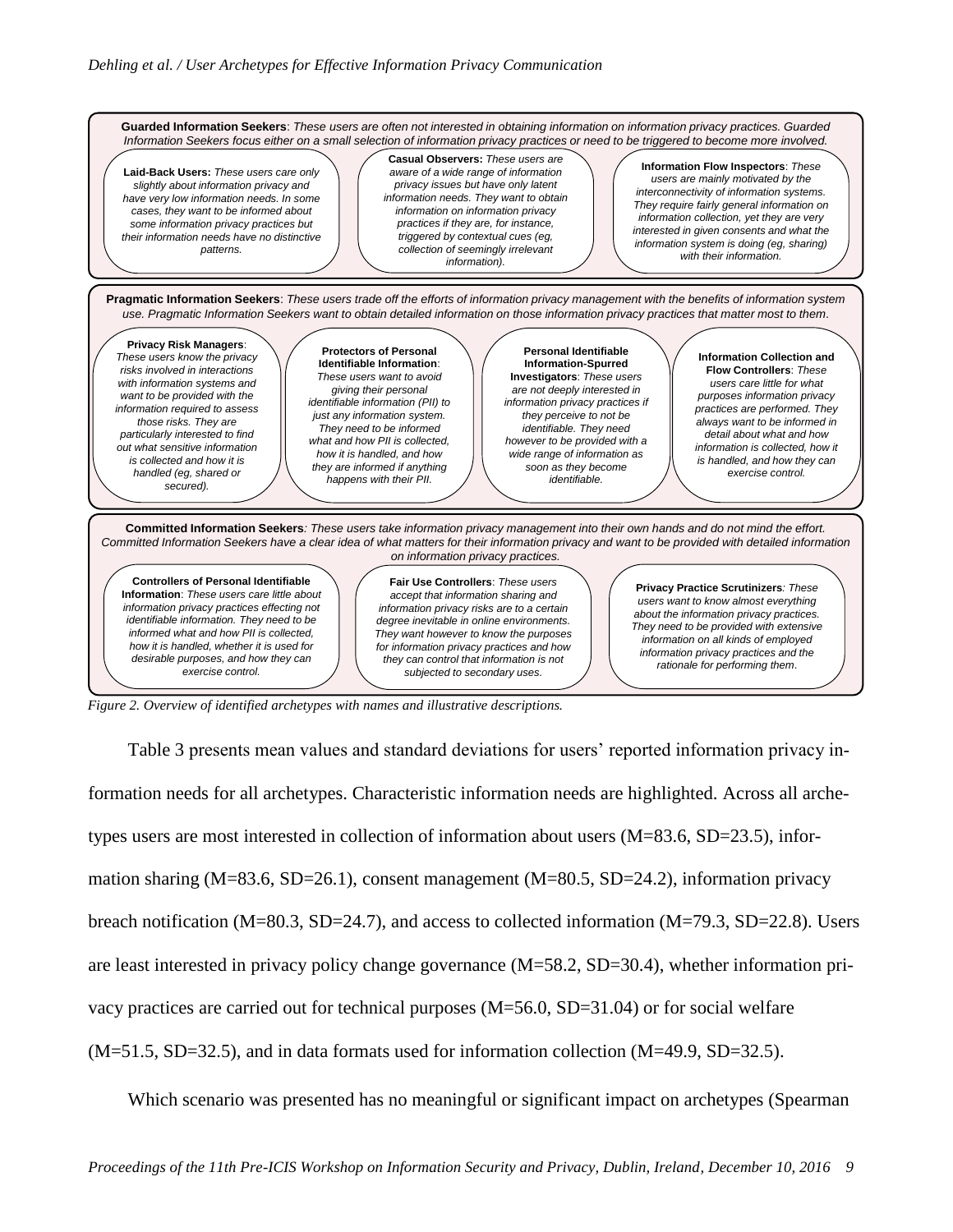

<span id="page-9-0"></span>*Figure 2. Overview of identified archetypes with names and illustrative descriptions.*

[Table 3](#page-12-0) presents mean values and standard deviations for users' reported information privacy information needs for all archetypes. Characteristic information needs are highlighted. Across all archetypes users are most interested in collection of information about users (M=83.6, SD=23.5), information sharing (M=83.6, SD=26.1), consent management (M=80.5, SD=24.2), information privacy breach notification (M=80.3, SD=24.7), and access to collected information (M=79.3, SD=22.8). Users are least interested in privacy policy change governance (M=58.2, SD=30.4), whether information privacy practices are carried out for technical purposes (M=56.0, SD=31.04) or for social welfare (M=51.5, SD=32.5), and in data formats used for information collection (M=49.9, SD=32.5).

Which scenario was presented has no meaningful or significant impact on archetypes (Spearman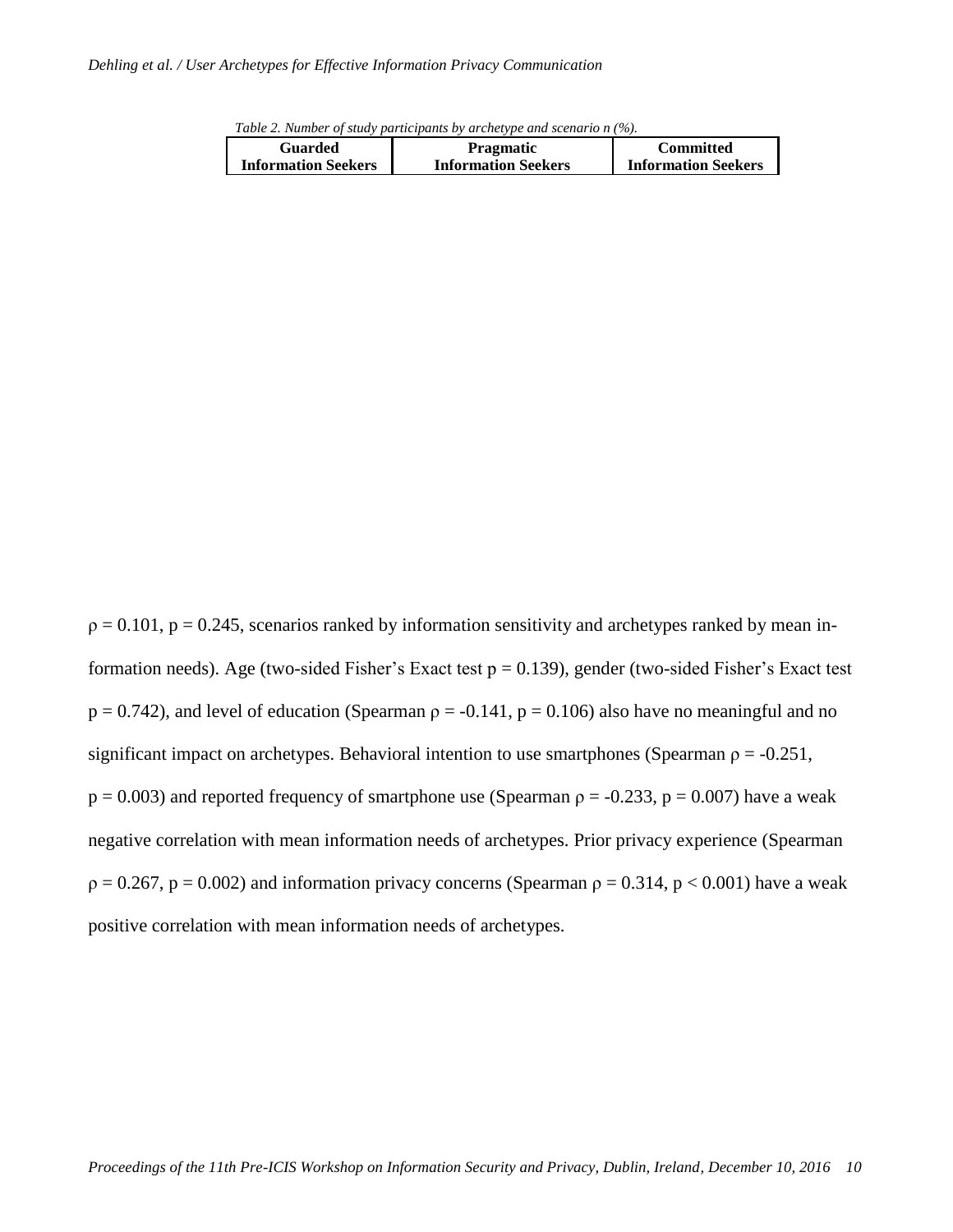<span id="page-10-0"></span>*Table 2. Number of study participants by archetype and scenario n (%).*

| Guarded                    | <b>Pragmatic</b>           | <b>Committed</b>           |
|----------------------------|----------------------------|----------------------------|
| <b>Information Seekers</b> | <b>Information Seekers</b> | <b>Information Seekers</b> |

 $p = 0.101$ ,  $p = 0.245$ , scenarios ranked by information sensitivity and archetypes ranked by mean information needs). Age (two-sided Fisher's Exact test  $p = 0.139$ ), gender (two-sided Fisher's Exact test  $p = 0.742$ ), and level of education (Spearman  $p = -0.141$ ,  $p = 0.106$ ) also have no meaningful and no significant impact on archetypes. Behavioral intention to use smartphones (Spearman  $\rho = -0.251$ ,  $p = 0.003$ ) and reported frequency of smartphone use (Spearman  $p = -0.233$ ,  $p = 0.007$ ) have a weak negative correlation with mean information needs of archetypes. Prior privacy experience (Spearman  $p = 0.267$ ,  $p = 0.002$ ) and information privacy concerns (Spearman  $p = 0.314$ ,  $p < 0.001$ ) have a weak positive correlation with mean information needs of archetypes.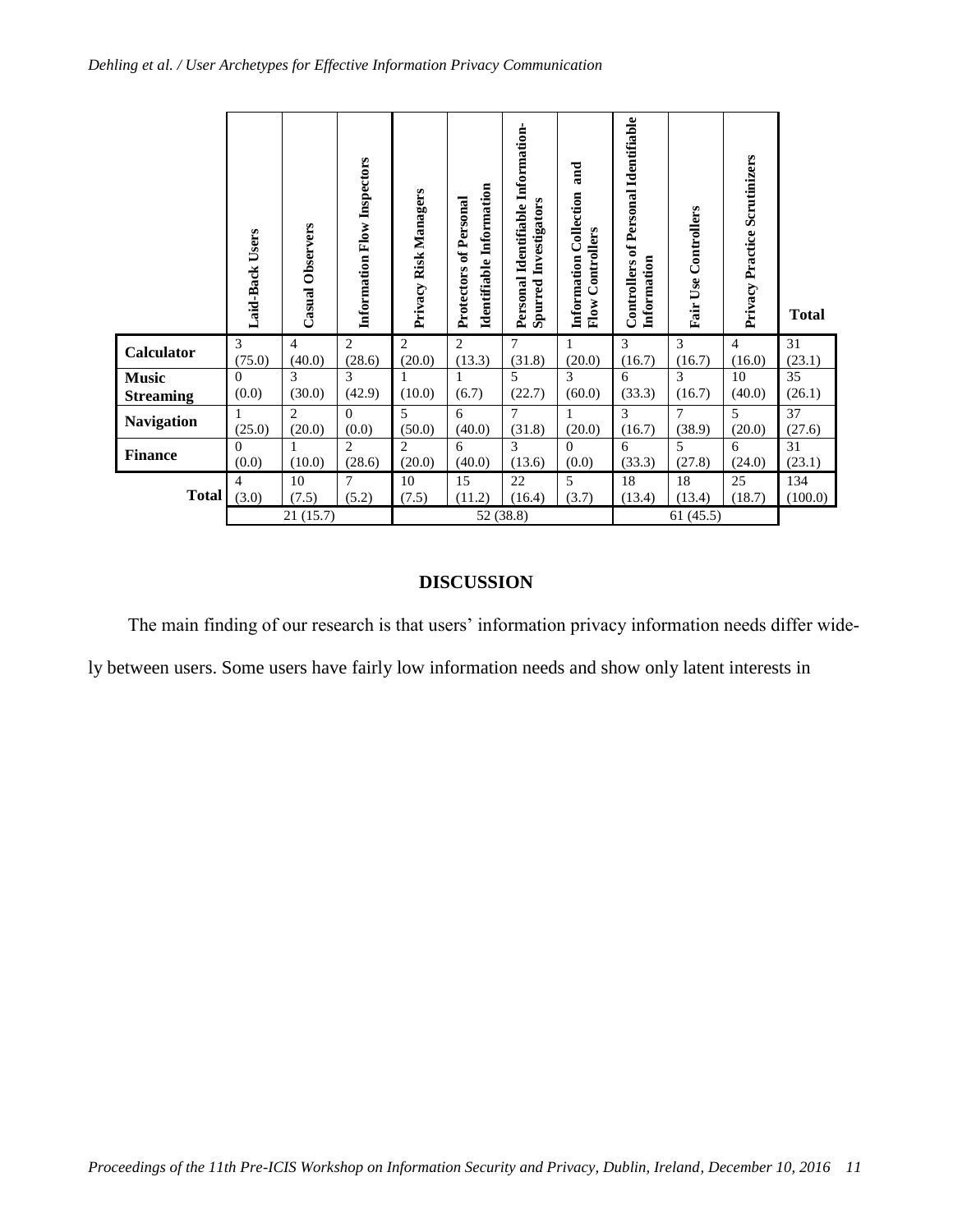|                                                                                                                                                                                                     | Laid-Back Users   | Casual Observers         | Information Flow Inspectors        | Privacy Risk Managers    | Identifiable Information<br>Protectors of Personal | Personal Identifiable Information-<br><b>Spurred Investigators</b> | and<br>Information Collection<br><b>Flow Controllers</b> | <b>Controllers of Personal Identifiable</b><br>Information | <b>Fair Use Controllers</b> | Privacy Practice Scrutinizers | <b>Total</b>              |
|-----------------------------------------------------------------------------------------------------------------------------------------------------------------------------------------------------|-------------------|--------------------------|------------------------------------|--------------------------|----------------------------------------------------|--------------------------------------------------------------------|----------------------------------------------------------|------------------------------------------------------------|-----------------------------|-------------------------------|---------------------------|
| <b>Calculator</b>                                                                                                                                                                                   | 3<br>(75.0)       | $\overline{4}$<br>(40.0) | $\overline{2}$<br>(28.6)           | $\overline{2}$<br>(20.0) | $\overline{2}$<br>(13.3)                           | 7<br>(31.8)                                                        | 1<br>(20.0)                                              | 3<br>(16.7)                                                | 3<br>(16.7)                 | $\overline{4}$<br>(16.0)      | $\overline{31}$<br>(23.1) |
| <b>Music</b><br><b>Streaming</b>                                                                                                                                                                    | $\Omega$<br>(0.0) | 3<br>(30.0)              | 3<br>(42.9)                        | (10.0)                   | (6.7)                                              | 5<br>(22.7)                                                        | 3<br>(60.0)                                              | 6<br>(33.3)                                                | 3<br>(16.7)                 | 10<br>(40.0)                  | 35<br>(26.1)              |
| <b>Navigation</b>                                                                                                                                                                                   | (25.0)            | $\overline{2}$<br>(20.0) | $\Omega$<br>(0.0)                  | 5<br>(50.0)              | 6<br>(40.0)                                        | $\overline{7}$<br>(31.8)                                           | 1<br>(20.0)                                              | 3<br>(16.7)                                                | 7<br>(38.9)                 | 5<br>(20.0)                   | 37<br>(27.6)              |
| <b>Finance</b>                                                                                                                                                                                      | $\Omega$<br>(0.0) | 1<br>(10.0)              | $\overline{\mathcal{L}}$<br>(28.6) | $\overline{c}$<br>(20.0) | 6<br>(40.0)                                        | $\mathcal{R}$<br>(13.6)                                            | $\Omega$<br>(0.0)                                        | 6<br>(33.3)                                                | 5<br>(27.8)                 | 6<br>(24.0)                   | 31<br>(23.1)              |
| Total                                                                                                                                                                                               | (3.0)             | 10<br>(7.5)              | $\overline{7}$<br>(5.2)            | 10<br>(7.5)              | 15<br>(11.2)                                       | 22<br>(16.4)                                                       | $\overline{5}$<br>(3.7)                                  | 18<br>(13.4)                                               | 18<br>(13.4)                | 25<br>(18.7)                  | 134<br>(100.0)            |
| 21(15.7)<br>52 (38.8)<br>61(45.5)                                                                                                                                                                   |                   |                          |                                    |                          |                                                    |                                                                    |                                                          |                                                            |                             |                               |                           |
| <b>DISCUSSION</b>                                                                                                                                                                                   |                   |                          |                                    |                          |                                                    |                                                                    |                                                          |                                                            |                             |                               |                           |
| The main finding of our research is that users' information privacy information needs differ wi<br>ly between users. Some users have fairly low information needs and show only latent interests in |                   |                          |                                    |                          |                                                    |                                                                    |                                                          |                                                            |                             |                               |                           |

# **DISCUSSION**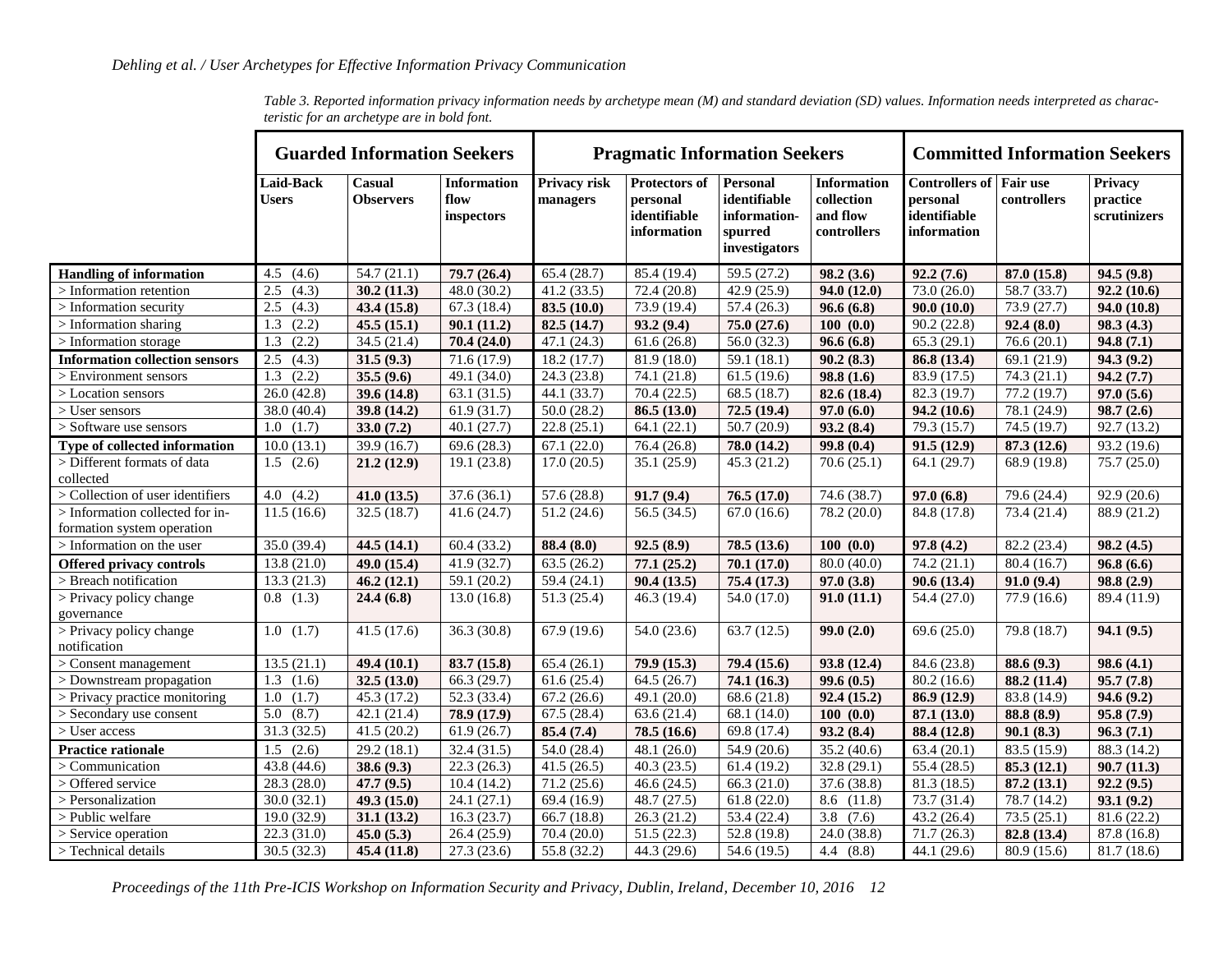|                                                               |                           | <b>Guarded Information Seekers</b> |                                          |                          | <b>Pragmatic Information Seekers</b>                     |                                                                             | <b>Committed Information Seekers</b>                        |                                                                           |                          |                                     |
|---------------------------------------------------------------|---------------------------|------------------------------------|------------------------------------------|--------------------------|----------------------------------------------------------|-----------------------------------------------------------------------------|-------------------------------------------------------------|---------------------------------------------------------------------------|--------------------------|-------------------------------------|
|                                                               | <b>Laid-Back</b><br>Users | Casual<br><b>Observers</b>         | <b>Information</b><br>flow<br>inspectors | Privacy risk<br>managers | Protectors of<br>personal<br>identifiable<br>information | <b>Personal</b><br>identifiable<br>information-<br>spurred<br>investigators | <b>Information</b><br>collection<br>and flow<br>controllers | <b>Controllers of Fair use</b><br>personal<br>identifiable<br>information | controllers              | Privacy<br>practice<br>scrutinizers |
| <b>Handling of information</b>                                | 4.5<br>(4.6)              | 54.7(21.1)                         | 79.7(26.4)                               | 65.4(28.7)               | 85.4 (19.4)                                              | 59.5 (27.2)                                                                 | 98.2(3.6)                                                   | 92.2(7.6)                                                                 | 87.0 (15.8)              | 94.5(9.8)                           |
| $>$ Information retention                                     | 2.5<br>(4.3)              | 30.2(11.3)                         | 48.0(30.2)                               | 41.2(33.5)               | 72.4 (20.8)                                              | 42.9(25.9)                                                                  | 94.0(12.0)                                                  | 73.0(26.0)                                                                | 58.7 (33.7)              | 92.2(10.6)                          |
| $>$ Information security                                      | 2.5<br>(4.3)              | 43.4 (15.8)                        | 67.3(18.4)                               | 83.5(10.0)               | 73.9 (19.4)                                              | 57.4(26.3)                                                                  | 96.6(6.8)                                                   | 90.0(10.0)                                                                | 73.9 (27.7)              | 94.0(10.8)                          |
| $>$ Information sharing                                       | (2.2)<br>1.3              | 45.5(15.1)                         | 90.1(11.2)                               | 82.5(14.7)               | 93.2(9.4)                                                | 75.0 (27.6)                                                                 | 100(0.0)                                                    | 90.2(22.8)                                                                | 92.4(8.0)                | 98.3(4.3)                           |
| > Information storage                                         | 1.3<br>(2.2)              | 34.5(21.4)                         | 70.4 (24.0)                              | 47.1 (24.3)              | 61.6(26.8)                                               | 56.0(32.3)                                                                  | 96.6(6.8)                                                   | 65.3(29.1)                                                                | 76.6(20.1)               | 94.8(7.1)                           |
| <b>Information collection sensors</b>                         | 2.5<br>(4.3)              | 31.5(9.3)                          | 71.6(17.9)                               | 18.2(17.7)               | 81.9 (18.0)                                              | 59.1 $(18.1)$                                                               | 90.2(8.3)                                                   | 86.8 (13.4)                                                               | 69.1 $(21.9)$            | 94.3(9.2)                           |
| > Environment sensors                                         | $\overline{1.3}$<br>(2.2) | 35.5(9.6)                          | 49.1 (34.0)                              | 24.3(23.8)               | 74.1 (21.8)                                              | 61.5(19.6)                                                                  | 98.8(1.6)                                                   | $\overline{83.9}$ (17.5)                                                  | 74.3(21.1)               | 94.2(7.7)                           |
| > Location sensors                                            | 26.0(42.8)                | 39.6(14.8)                         | 63.1(31.5)                               | 44.1(33.7)               | 70.4(22.5)                                               | 68.5(18.7)                                                                  | 82.6 (18.4)                                                 | 82.3(19.7)                                                                | 77.2(19.7)               | 97.0(5.6)                           |
| $>$ User sensors                                              | 38.0 (40.4)               | 39.8 (14.2)                        | 61.9(31.7)                               | 50.0(28.2)               | 86.5(13.0)                                               | 72.5(19.4)                                                                  | 97.0(6.0)                                                   | 94.2 (10.6)                                                               | 78.1 (24.9)              | 98.7(2.6)                           |
| > Software use sensors                                        | (1.7)<br>1.0              | 33.0(7.2)                          | 40.1(27.7)                               | 22.8(25.1)               | 64.1(22.1)                                               | 50.7(20.9)                                                                  | 93.2(8.4)                                                   | 79.3(15.7)                                                                | 74.5(19.7)               | 92.7(13.2)                          |
| Type of collected information                                 | 10.0(13.1)                | 39.9 (16.7)                        | 69.6(28.3)                               | 67.1(22.0)               | 76.4 (26.8)                                              | 78.0 (14.2)                                                                 | 99.8(0.4)                                                   | 91.5(12.9)                                                                | 87.3 (12.6)              | 93.2 (19.6)                         |
| > Different formats of data                                   | 1.5(2.6)                  | 21.2(12.9)                         | 19.1(23.8)                               | 17.0(20.5)               | 35.1(25.9)                                               | 45.3(21.2)                                                                  | 70.6(25.1)                                                  | 64.1 (29.7)                                                               | 68.9 (19.8)              | 75.7 (25.0)                         |
| collected                                                     |                           |                                    |                                          |                          |                                                          |                                                                             |                                                             |                                                                           |                          |                                     |
| $>$ Collection of user identifiers                            | 4.0(4.2)                  | 41.0(13.5)                         | 37.6(36.1)                               | 57.6(28.8)               | 91.7(9.4)                                                | 76.5(17.0)                                                                  | 74.6 (38.7)                                                 | 97.0(6.8)                                                                 | 79.6 (24.4)              | 92.9(20.6)                          |
| > Information collected for in-<br>formation system operation | 11.5(16.6)                | 32.5(18.7)                         | 41.6(24.7)                               | 51.2(24.6)               | 56.5(34.5)                                               | 67.0(16.6)                                                                  | 78.2 (20.0)                                                 | 84.8 (17.8)                                                               | 73.4 (21.4)              | 88.9 (21.2)                         |
| > Information on the user                                     | 35.0 (39.4)               | 44.5 $(14.1)$                      | 60.4(33.2)                               | 88.4 (8.0)               | 92.5(8.9)                                                | 78.5(13.6)                                                                  | 100(0.0)                                                    | 97.8(4.2)                                                                 | $\overline{82.2}$ (23.4) | 98.2(4.5)                           |
| <b>Offered privacy controls</b>                               | 13.8(21.0)                | 49.0 (15.4)                        | 41.9(32.7)                               | 63.5(26.2)               | 77.1(25.2)                                               | 70.1(17.0)                                                                  | 80.0(40.0)                                                  | 74.2(21.1)                                                                | 80.4(16.7)               | 96.8(6.6)                           |
| > Breach notification                                         | 13.3(21.3)                | 46.2(12.1)                         | 59.1 (20.2)                              | 59.4(24.1)               | 90.4(13.5)                                               | 75.4 (17.3)                                                                 | 97.0 (3.8)                                                  | 90.6(13.4)                                                                | 91.0(9.4)                | 98.8(2.9)                           |
| > Privacy policy change<br>governance                         | $0.8$ $(1.3)$             | 24.4(6.8)                          | 13.0(16.8)                               | 51.3(25.4)               | 46.3 (19.4)                                              | 54.0 (17.0)                                                                 | 91.0(11.1)                                                  | 54.4 (27.0)                                                               | 77.9 (16.6)              | 89.4 (11.9)                         |
| > Privacy policy change<br>notification                       | 1.0(1.7)                  | 41.5(17.6)                         | 36.3(30.8)                               | 67.9 (19.6)              | 54.0 (23.6)                                              | 63.7(12.5)                                                                  | 99.0(2.0)                                                   | 69.6(25.0)                                                                | 79.8 (18.7)              | 94.1(9.5)                           |
| $\overline{\phantom{a}}$ > Consent management                 | 13.5(21.1)                | 49.4(10.1)                         | 83.7 (15.8)                              | 65.4(26.1)               | 79.9 (15.3)                                              | 79.4(15.6)                                                                  | 93.8 (12.4)                                                 | 84.6 (23.8)                                                               | 88.6 (9.3)               | 98.6(4.1)                           |
| > Downstream propagation                                      | (1.6)<br>1.3              | 32.5(13.0)                         | 66.3 (29.7)                              | 61.6(25.4)               | 64.5(26.7)                                               | 74.1 (16.3)                                                                 | 99.6(0.5)                                                   | 80.2(16.6)                                                                | 88.2 (11.4)              | 95.7(7.8)                           |
| > Privacy practice monitoring                                 | 1.0<br>(1.7)              | 45.3(17.2)                         | 52.3 (33.4)                              | 67.2(26.6)               | 49.1 (20.0)                                              | 68.6(21.8)                                                                  | 92.4 (15.2)                                                 | 86.9 (12.9)                                                               | 83.8 (14.9)              | 94.6(9.2)                           |
| > Secondary use consent                                       | 5.0<br>(8.7)              | 42.1(21.4)                         | 78.9 (17.9)                              | 67.5(28.4)               | 63.6(21.4)                                               | 68.1(14.0)                                                                  | 100(0.0)                                                    | 87.1(13.0)                                                                | 88.8 (8.9)               | 95.8(7.9)                           |
| > User access                                                 | 31.3(32.5)                | 41.5(20.2)                         | 61.9(26.7)                               | 85.4 (7.4)               | 78.5 (16.6)                                              | 69.8 (17.4)                                                                 | 93.2(8.4)                                                   | 88.4 (12.8)                                                               | 90.1(8.3)                | 96.3(7.1)                           |
| <b>Practice rationale</b>                                     | 1.5<br>(2.6)              | 29.2(18.1)                         | 32.4 (31.5)                              | 54.0 (28.4)              | 48.1(26.0)                                               | 54.9 (20.6)                                                                 | 35.2(40.6)                                                  | 63.4(20.1)                                                                | 83.5 (15.9)              | 88.3 (14.2)                         |
| > Communication                                               | 43.8 (44.6)               | 38.6 (9.3)                         | 22.3(26.3)                               | 41.5(26.5)               | 40.3(23.5)                                               | 61.4(19.2)                                                                  | 32.8 (29.1)                                                 | 55.4(28.5)                                                                | 85.3 (12.1)              | 90.7(11.3)                          |
| > Offered service                                             | 28.3 (28.0)               | 47.7 (9.5)                         | 10.4(14.2)                               | 71.2(25.6)               | 46.6(24.5)                                               | 66.3(21.0)                                                                  | 37.6(38.8)                                                  | 81.3(18.5)                                                                | 87.2 (13.1)              | 92.2(9.5)                           |
| > Personalization                                             | 30.0(32.1)                | 49.3 (15.0)                        | 24.1(27.1)                               | 69.4 (16.9)              | 48.7(27.5)                                               | 61.8(22.0)                                                                  | 8.6 (11.8)                                                  | 73.7 (31.4)                                                               | 78.7(14.2)               | 93.1(9.2)                           |
| > Public welfare                                              | 19.0(32.9)                | 31.1(13.2)                         | 16.3(23.7)                               | 66.7 $(18.8)$            | 26.3(21.2)                                               | 53.4(22.4)                                                                  | $3.8$ $(7.6)$                                               | 43.2(26.4)                                                                | 73.5(25.1)               | 81.6(22.2)                          |
| $>$ Service operation                                         | 22.3 (31.0)               | 45.0(5.3)                          | 26.4 (25.9)                              | 70.4 (20.0)              | 51.5(22.3)                                               | 52.8(19.8)                                                                  | 24.0 (38.8)                                                 | 71.7(26.3)                                                                | 82.8 (13.4)              | 87.8 (16.8)                         |
| > Technical details                                           | 30.5(32.3)                | 45.4(11.8)                         | 27.3(23.6)                               | 55.8(32.2)               | 44.3(29.6)                                               | 54.6 (19.5)                                                                 | 4.4(8.8)                                                    | 44.1 (29.6)                                                               | 80.9 (15.6)              | 81.7(18.6)                          |

<span id="page-12-0"></span>*Table 3. Reported information privacy information needs by archetype mean (M) and standard deviation (SD) values. Information needs interpreted as characteristic for an archetype are in bold font.*

*Proceedings of the 11th Pre-ICIS Workshop on Information Security and Privacy, Dublin, Ireland, December 10, 2016 12*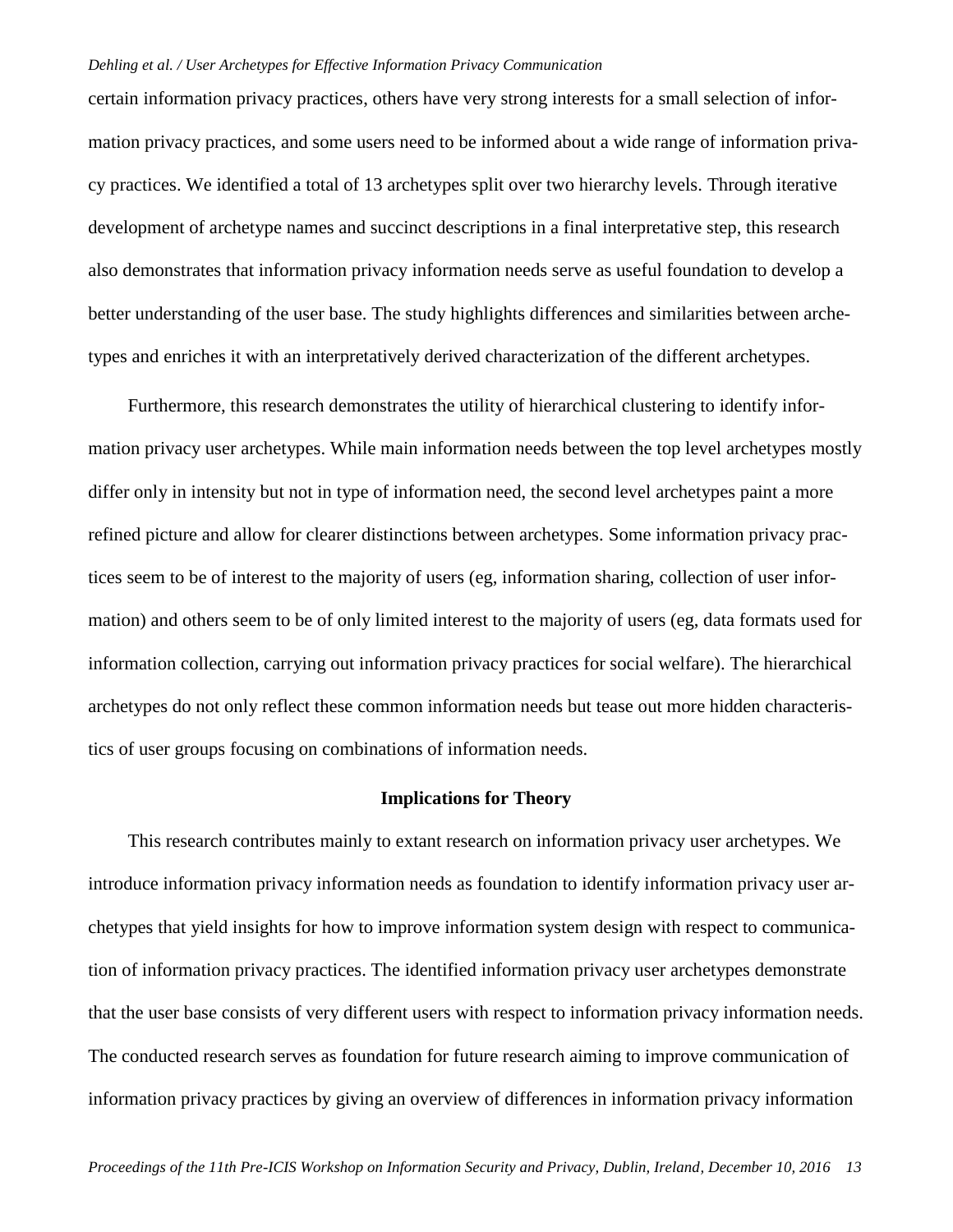certain information privacy practices, others have very strong interests for a small selection of information privacy practices, and some users need to be informed about a wide range of information privacy practices. We identified a total of 13 archetypes split over two hierarchy levels. Through iterative development of archetype names and succinct descriptions in a final interpretative step, this research also demonstrates that information privacy information needs serve as useful foundation to develop a better understanding of the user base. The study highlights differences and similarities between archetypes and enriches it with an interpretatively derived characterization of the different archetypes.

Furthermore, this research demonstrates the utility of hierarchical clustering to identify information privacy user archetypes. While main information needs between the top level archetypes mostly differ only in intensity but not in type of information need, the second level archetypes paint a more refined picture and allow for clearer distinctions between archetypes. Some information privacy practices seem to be of interest to the majority of users (eg, information sharing, collection of user information) and others seem to be of only limited interest to the majority of users (eg, data formats used for information collection, carrying out information privacy practices for social welfare). The hierarchical archetypes do not only reflect these common information needs but tease out more hidden characteristics of user groups focusing on combinations of information needs.

# **Implications for Theory**

This research contributes mainly to extant research on information privacy user archetypes. We introduce information privacy information needs as foundation to identify information privacy user archetypes that yield insights for how to improve information system design with respect to communication of information privacy practices. The identified information privacy user archetypes demonstrate that the user base consists of very different users with respect to information privacy information needs. The conducted research serves as foundation for future research aiming to improve communication of information privacy practices by giving an overview of differences in information privacy information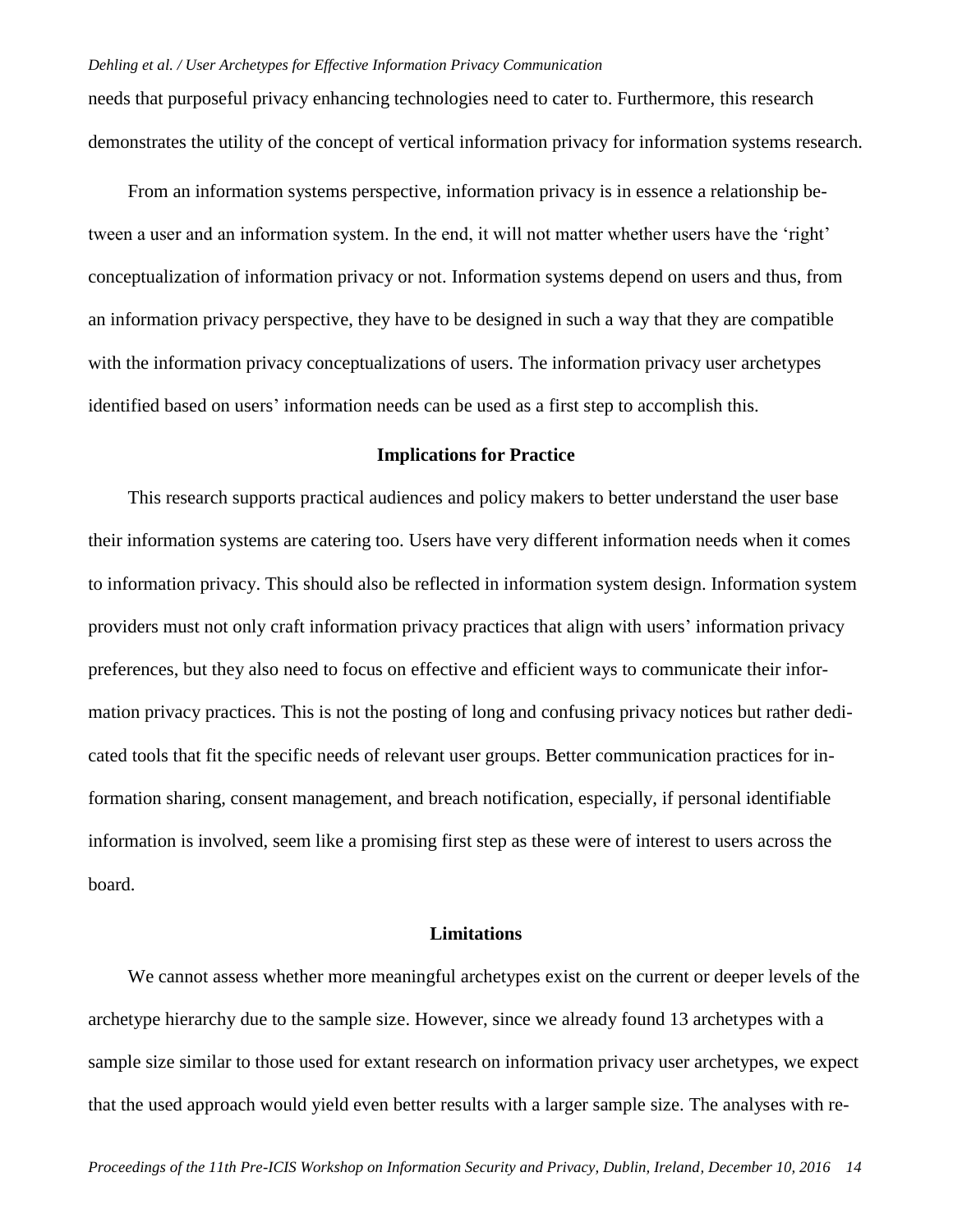needs that purposeful privacy enhancing technologies need to cater to. Furthermore, this research demonstrates the utility of the concept of vertical information privacy for information systems research.

From an information systems perspective, information privacy is in essence a relationship between a user and an information system. In the end, it will not matter whether users have the 'right' conceptualization of information privacy or not. Information systems depend on users and thus, from an information privacy perspective, they have to be designed in such a way that they are compatible with the information privacy conceptualizations of users. The information privacy user archetypes identified based on users' information needs can be used as a first step to accomplish this.

## **Implications for Practice**

This research supports practical audiences and policy makers to better understand the user base their information systems are catering too. Users have very different information needs when it comes to information privacy. This should also be reflected in information system design. Information system providers must not only craft information privacy practices that align with users' information privacy preferences, but they also need to focus on effective and efficient ways to communicate their information privacy practices. This is not the posting of long and confusing privacy notices but rather dedicated tools that fit the specific needs of relevant user groups. Better communication practices for information sharing, consent management, and breach notification, especially, if personal identifiable information is involved, seem like a promising first step as these were of interest to users across the board.

## **Limitations**

We cannot assess whether more meaningful archetypes exist on the current or deeper levels of the archetype hierarchy due to the sample size. However, since we already found 13 archetypes with a sample size similar to those used for extant research on information privacy user archetypes, we expect that the used approach would yield even better results with a larger sample size. The analyses with re-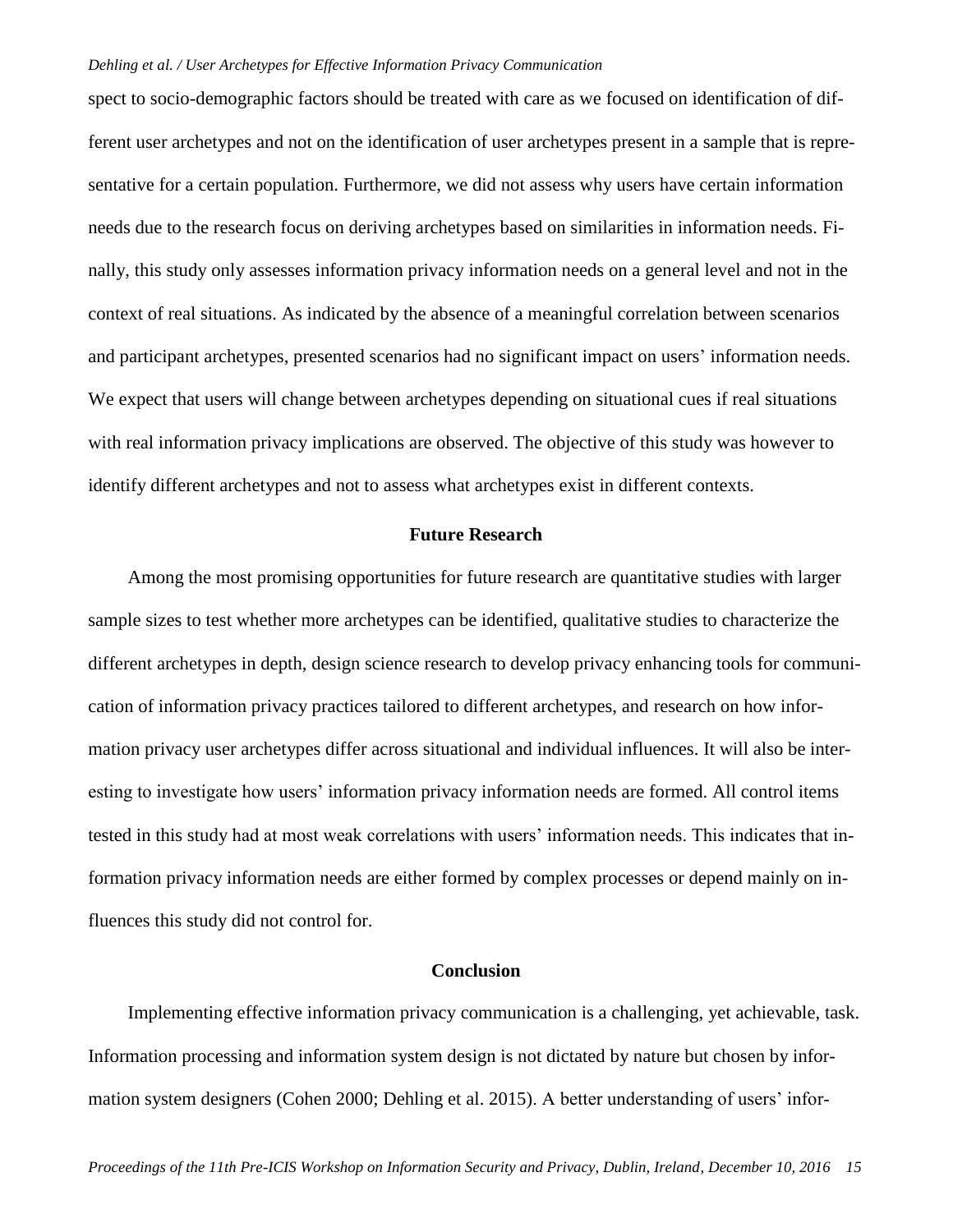spect to socio-demographic factors should be treated with care as we focused on identification of different user archetypes and not on the identification of user archetypes present in a sample that is representative for a certain population. Furthermore, we did not assess why users have certain information needs due to the research focus on deriving archetypes based on similarities in information needs. Finally, this study only assesses information privacy information needs on a general level and not in the context of real situations. As indicated by the absence of a meaningful correlation between scenarios and participant archetypes, presented scenarios had no significant impact on users' information needs. We expect that users will change between archetypes depending on situational cues if real situations with real information privacy implications are observed. The objective of this study was however to identify different archetypes and not to assess what archetypes exist in different contexts.

#### **Future Research**

Among the most promising opportunities for future research are quantitative studies with larger sample sizes to test whether more archetypes can be identified, qualitative studies to characterize the different archetypes in depth, design science research to develop privacy enhancing tools for communication of information privacy practices tailored to different archetypes, and research on how information privacy user archetypes differ across situational and individual influences. It will also be interesting to investigate how users' information privacy information needs are formed. All control items tested in this study had at most weak correlations with users' information needs. This indicates that information privacy information needs are either formed by complex processes or depend mainly on influences this study did not control for.

# **Conclusion**

Implementing effective information privacy communication is a challenging, yet achievable, task. Information processing and information system design is not dictated by nature but chosen by information system designers (Cohen 2000; Dehling et al. 2015). A better understanding of users' infor-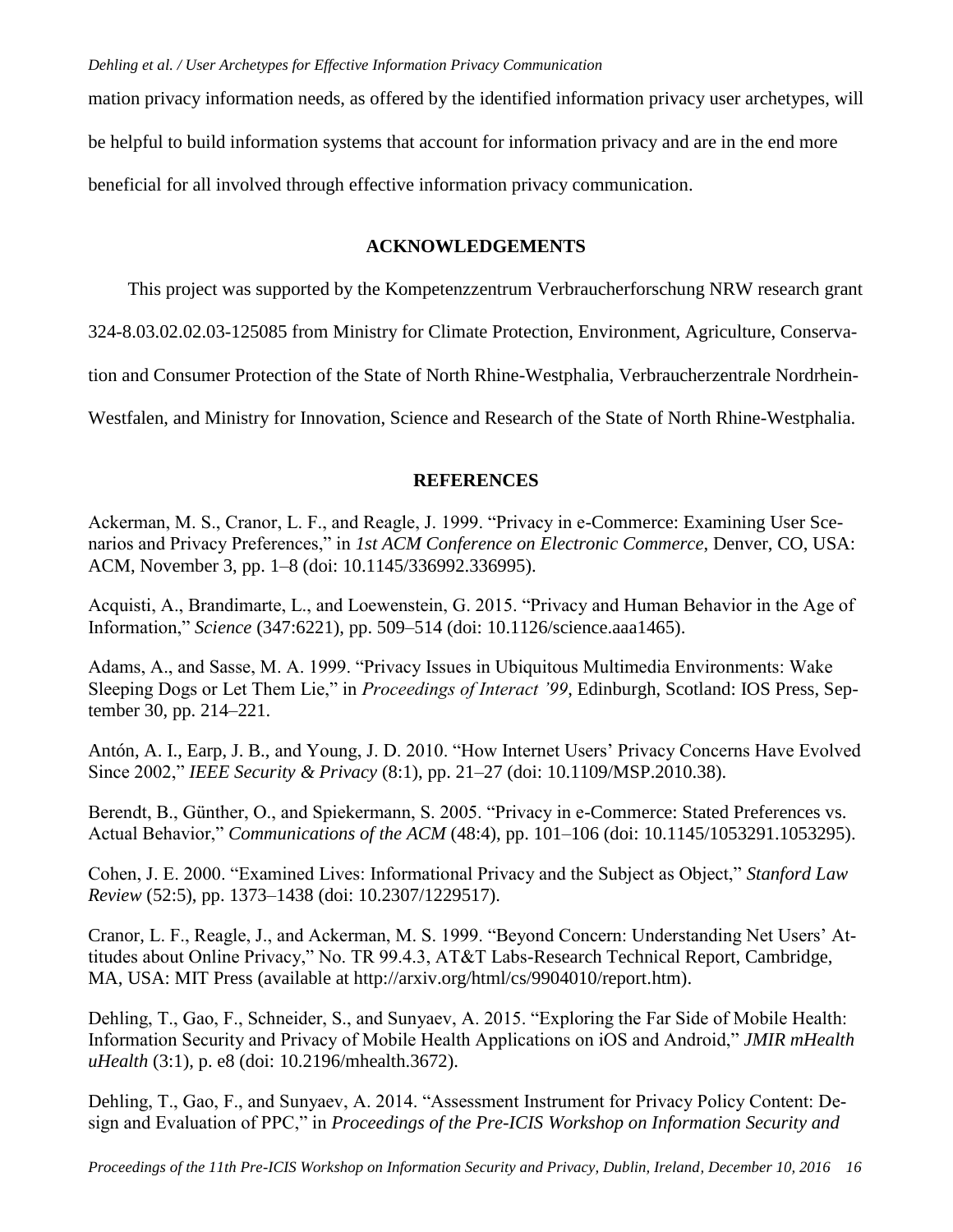mation privacy information needs, as offered by the identified information privacy user archetypes, will be helpful to build information systems that account for information privacy and are in the end more beneficial for all involved through effective information privacy communication.

## **ACKNOWLEDGEMENTS**

This project was supported by the Kompetenzzentrum Verbraucherforschung NRW research grant

324-8.03.02.02.03-125085 from Ministry for Climate Protection, Environment, Agriculture, Conserva-

tion and Consumer Protection of the State of North Rhine-Westphalia, Verbraucherzentrale Nordrhein-

Westfalen, and Ministry for Innovation, Science and Research of the State of North Rhine-Westphalia.

# **REFERENCES**

Ackerman, M. S., Cranor, L. F., and Reagle, J. 1999. "Privacy in e-Commerce: Examining User Scenarios and Privacy Preferences," in *1st ACM Conference on Electronic Commerce*, Denver, CO, USA: ACM, November 3, pp. 1–8 (doi: 10.1145/336992.336995).

Acquisti, A., Brandimarte, L., and Loewenstein, G. 2015. "Privacy and Human Behavior in the Age of Information," *Science* (347:6221), pp. 509–514 (doi: 10.1126/science.aaa1465).

Adams, A., and Sasse, M. A. 1999. "Privacy Issues in Ubiquitous Multimedia Environments: Wake Sleeping Dogs or Let Them Lie," in *Proceedings of Interact '99*, Edinburgh, Scotland: IOS Press, September 30, pp. 214–221.

Antón, A. I., Earp, J. B., and Young, J. D. 2010. "How Internet Users' Privacy Concerns Have Evolved Since 2002," *IEEE Security & Privacy* (8:1), pp. 21–27 (doi: 10.1109/MSP.2010.38).

Berendt, B., Günther, O., and Spiekermann, S. 2005. "Privacy in e-Commerce: Stated Preferences vs. Actual Behavior," *Communications of the ACM* (48:4), pp. 101–106 (doi: 10.1145/1053291.1053295).

Cohen, J. E. 2000. "Examined Lives: Informational Privacy and the Subject as Object," *Stanford Law Review* (52:5), pp. 1373–1438 (doi: 10.2307/1229517).

Cranor, L. F., Reagle, J., and Ackerman, M. S. 1999. "Beyond Concern: Understanding Net Users' Attitudes about Online Privacy," No. TR 99.4.3, AT&T Labs-Research Technical Report, Cambridge, MA, USA: MIT Press (available at http://arxiv.org/html/cs/9904010/report.htm).

Dehling, T., Gao, F., Schneider, S., and Sunyaev, A. 2015. "Exploring the Far Side of Mobile Health: Information Security and Privacy of Mobile Health Applications on iOS and Android," *JMIR mHealth uHealth* (3:1), p. e8 (doi: 10.2196/mhealth.3672).

Dehling, T., Gao, F., and Sunyaev, A. 2014. "Assessment Instrument for Privacy Policy Content: Design and Evaluation of PPC," in *Proceedings of the Pre-ICIS Workshop on Information Security and*